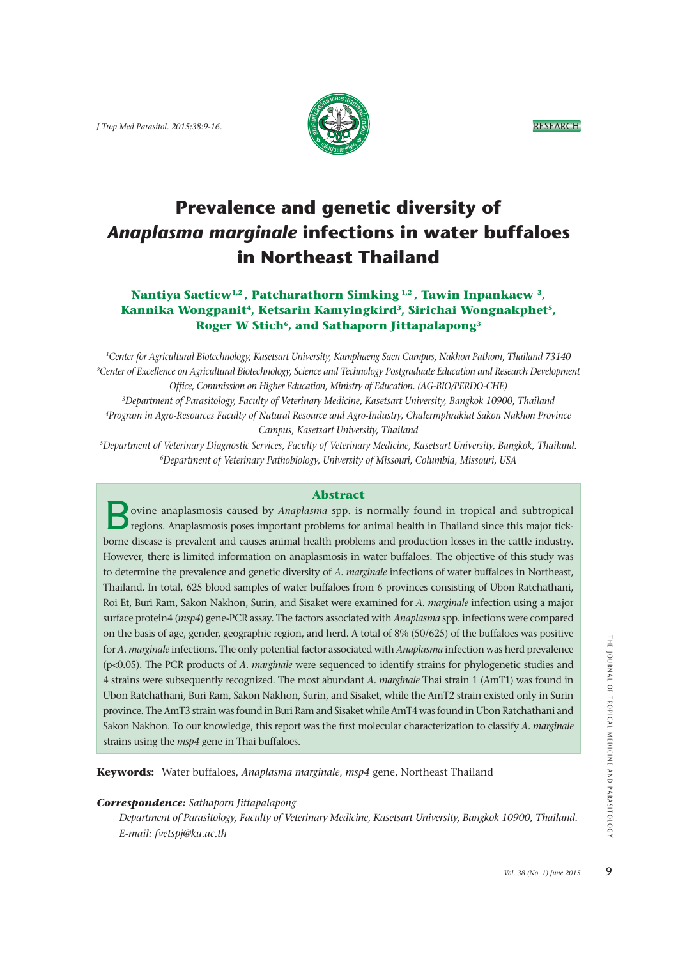*J* Trop Med Parasitol. 2015:38:9-16. **RESEARCH** 



# **Prevalence and genetic diversity of**  *Anaplasma marginale* **infections in water buffaloes in Northeast Thailand**

# **Nantiya Saetiew1,2 , Patcharathorn Simking 1,2 , Tawin Inpankaew 3, Kannika Wongpanit4, Ketsarin Kamyingkird3, Sirichai Wongnakphet5,**  Roger W Stich<sup>6</sup>, and Sathaporn Jittapalapong<sup>3</sup>

*1 Center for Agricultural Biotechnology, Kasetsart University, Kamphaeng Saen Campus, Nakhon Pathom, Thailand 73140 2 Center of Excellence on Agricultural Biotechnology, Science and Technology Postgraduate Education and Research Development Office, Commission on Higher Education, Ministry of Education. (AG-BIO/PERDO-CHE)*

*3Department of Parasitology, Faculty of Veterinary Medicine, Kasetsart University, Bangkok 10900, Thailand 4Program in Agro-Resources Faculty of Natural Resource and Agro-Industry, Chalermphrakiat Sakon Nakhon Province Campus, Kasetsart University, Thailand* 

*5Department of Veterinary Diagnostic Services, Faculty of Veterinary Medicine, Kasetsart University, Bangkok, Thailand. 6Department of Veterinary Pathobiology, University of Missouri, Columbia, Missouri, USA*

## **Abstract**

 $\overline{B}$  ovine anaplasmosis caused by *Anaplasma* spp. is normally found in tropical and subtropical regions. Anaplasmosis poses important problems for animal health in Thailand since this major tickborne disease is prevalent and causes animal health problems and production losses in the cattle industry. However, there is limited information on anaplasmosis in water buffaloes. The objective of this study was to determine the prevalence and genetic diversity of *A. marginale* infections of water buffaloes in Northeast, Thailand. In total, 625 blood samples of water buffaloes from 6 provinces consisting of Ubon Ratchathani, Roi Et, Buri Ram, Sakon Nakhon, Surin, and Sisaket were examined for *A. marginale* infection using a major surface protein4 (*msp4*) gene-PCR assay. The factors associated with *Anaplasma* spp. infections were compared on the basis of age, gender, geographic region, and herd. A total of 8% (50/625) of the buffaloes was positive for *A. marginale* infections. The only potential factor associated with *Anaplasma* infection was herd prevalence (p<0.05). The PCR products of *A. marginale* were sequenced to identify strains for phylogenetic studies and 4 strains were subsequently recognized. The most abundant *A. marginale* Thai strain 1 (AmT1) was found in Ubon Ratchathani, Buri Ram, Sakon Nakhon, Surin, and Sisaket, while the AmT2 strain existed only in Surin province. The AmT3 strain was found in Buri Ram and Sisaket while AmT4 was found in Ubon Ratchathani and Sakon Nakhon. To our knowledge, this report was the first molecular characterization to classify *A. marginale* strains using the *msp4* gene in Thai buffaloes.

**Keywords:** Water buffaloes, *Anaplasma marginale*, *msp4* gene, Northeast Thailand

# *Correspondence: Sathaporn Jittapalapong*

 *Department of Parasitology, Faculty of Veterinary Medicine, Kasetsart University, Bangkok 10900, Thailand. E-mail: fvetspj@ku.ac.th*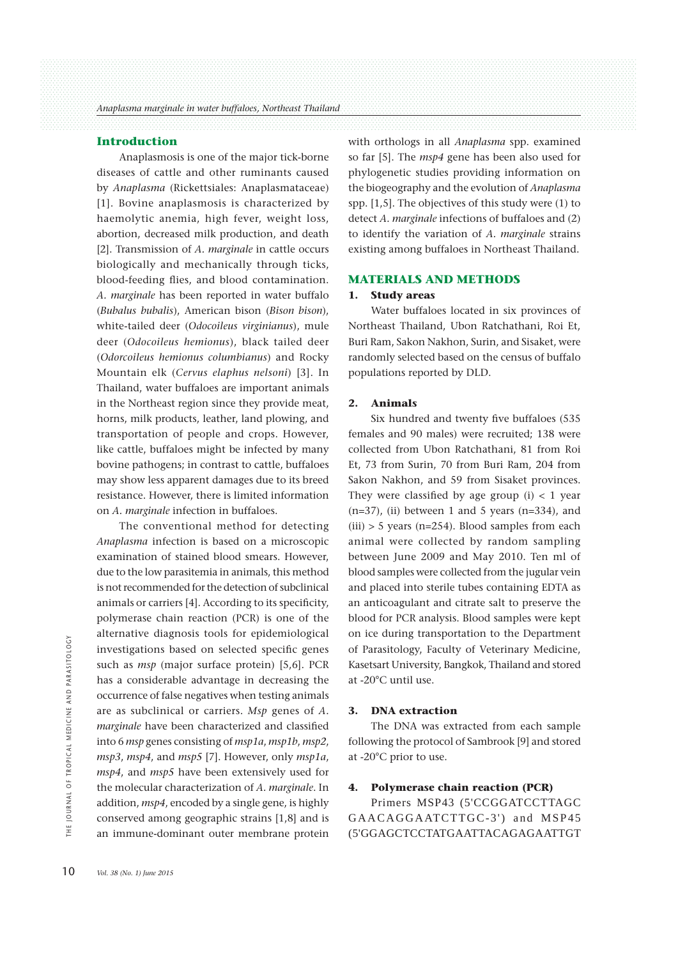#### **Introduction**

 Anaplasmosis is one of the major tick-borne diseases of cattle and other ruminants caused by *Anaplasma* (Rickettsiales: Anaplasmataceae) [1]. Bovine anaplasmosis is characterized by haemolytic anemia, high fever, weight loss, abortion, decreased milk production, and death [2]. Transmission of *A. marginale* in cattle occurs biologically and mechanically through ticks, blood-feeding flies, and blood contamination. *A. marginale* has been reported in water buffalo (*Bubalus bubalis*), American bison (*Bison bison*), white-tailed deer (*Odocoileus virginianus*), mule deer (*Odocoileus hemionus*), black tailed deer (*Odorcoileus hemionus columbianus*) and Rocky Mountain elk (*Cervus elaphus nelsoni*) [3]. In Thailand, water buffaloes are important animals in the Northeast region since they provide meat, horns, milk products, leather, land plowing, and transportation of people and crops. However, like cattle, buffaloes might be infected by many bovine pathogens; in contrast to cattle, buffaloes may show less apparent damages due to its breed resistance. However, there is limited information on *A. marginale* infection in buffaloes.

 The conventional method for detecting *Anaplasma* infection is based on a microscopic examination of stained blood smears. However, due to the low parasitemia in animals, this method is not recommended for the detection of subclinical animals or carriers [4]. According to its specificity, polymerase chain reaction (PCR) is one of the alternative diagnosis tools for epidemiological investigations based on selected specific genes such as *msp* (major surface protein) [5,6]. PCR has a considerable advantage in decreasing the occurrence of false negatives when testing animals are as subclinical or carriers. *Msp* genes of *A. marginale* have been characterized and classified into 6 *msp* genes consisting of *msp1a*, *msp1b*, *msp2*, *msp3*, *msp4*, and *msp5* [7]. However, only *msp1a*, *msp4*, and *msp5* have been extensively used for the molecular characterization of *A. marginale*. In addition, *msp4*, encoded by a single gene, is highly conserved among geographic strains [1,8] and is an immune-dominant outer membrane protein the most investigations b<br>
such as *msp* (m<br>
has a considera<br>  $\frac{2}{5}$ <br>
occurrence of fal<br>
are as subclinic<br> *marginale* have l<br>
into 6 *msp* genes<br>  $msp3$ ,  $msp4$ , and<br>  $msp4$ , and  $msp5$ <br>
the molecular ch<br>
addition,  $msp4$ ,

with orthologs in all *Anaplasma* spp. examined so far [5]. The *msp4* gene has been also used for phylogenetic studies providing information on the biogeography and the evolution of *Anaplasma* spp. [1,5]. The objectives of this study were (1) to detect *A. marginale* infections of buffaloes and (2) to identify the variation of *A. marginale* strains existing among buffaloes in Northeast Thailand.

## **MATERIALS AND METHODS**

#### **1. Study areas**

 Water buffaloes located in six provinces of Northeast Thailand, Ubon Ratchathani, Roi Et, Buri Ram, Sakon Nakhon, Surin, and Sisaket, were randomly selected based on the census of buffalo populations reported by DLD.

#### **2. Animals**

 Six hundred and twenty five buffaloes (535 females and 90 males) were recruited; 138 were collected from Ubon Ratchathani, 81 from Roi Et, 73 from Surin, 70 from Buri Ram, 204 from Sakon Nakhon, and 59 from Sisaket provinces. They were classified by age group  $(i) < 1$  year  $(n=37)$ , (ii) between 1 and 5 years  $(n=334)$ , and  $(iii) > 5$  years (n=254). Blood samples from each animal were collected by random sampling between June 2009 and May 2010. Ten ml of blood samples were collected from the jugular vein and placed into sterile tubes containing EDTA as an anticoagulant and citrate salt to preserve the blood for PCR analysis. Blood samples were kept on ice during transportation to the Department of Parasitology, Faculty of Veterinary Medicine, Kasetsart University, Bangkok, Thailand and stored at -20°C until use.

#### **3. DNA extraction**

 The DNA was extracted from each sample following the protocol of Sambrook [9] and stored at -20°C prior to use.

#### **4. Polymerase chain reaction (PCR)**

 Primers MSP43 (5'CCGGATCCTTAGC GAACAGGAATCTTGC-3') and MSP45 (5'GGAGCTCCTATGAATTACAGAGAATTGT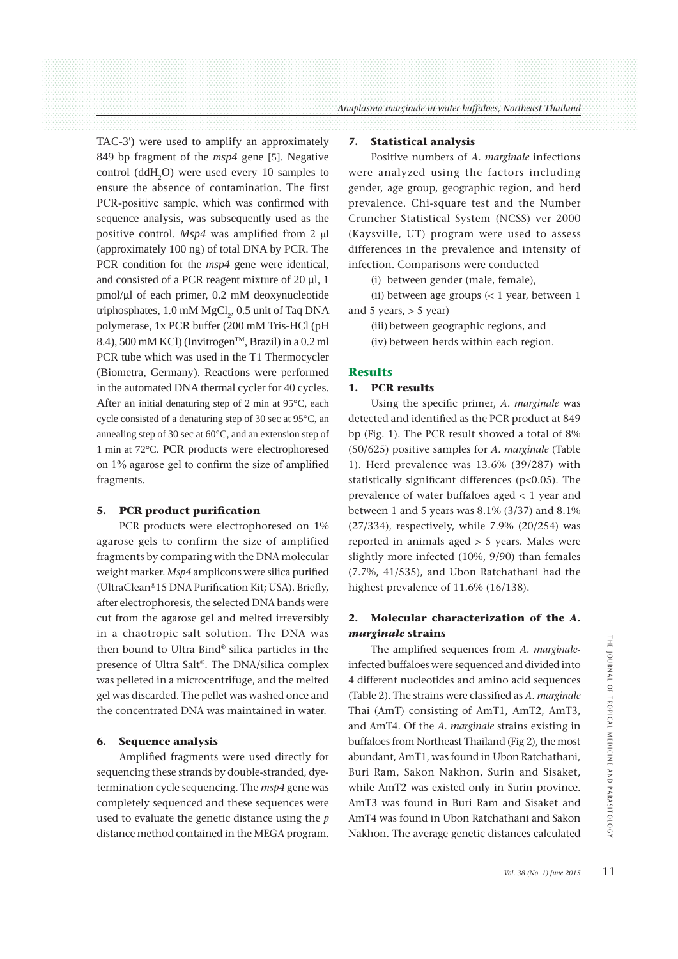TAC-3') were used to amplify an approximately 849 bp fragment of the *msp4* gene [5]. Negative control  $(ddH_2O)$  were used every 10 samples to ensure the absence of contamination. The first PCR-positive sample, which was confirmed with sequence analysis, was subsequently used as the positive control. *Msp4* was amplified from 2 ul (approximately 100 ng) of total DNA by PCR. The PCR condition for the *msp4* gene were identical, and consisted of a PCR reagent mixture of 20  $\mu$ l, 1 pmol/ʅl of each primer, 0.2 mM deoxynucleotide triphosphates,  $1.0 \text{ mM MgCl}_2$ ,  $0.5 \text{ unit of Taq DNA}$ polymerase, 1x PCR buffer (200 mM Tris-HCl (pH 8.4), 500 mM KCl) (Invitrogen<sup>TM</sup>, Brazil) in a 0.2 ml PCR tube which was used in the T1 Thermocycler (Biometra, Germany). Reactions were performed in the automated DNA thermal cycler for 40 cycles. After an initial denaturing step of 2 min at 95°C, each cycle consisted of a denaturing step of 30 sec at 95°C, an annealing step of 30 sec at 60°C, and an extension step of 1 min at 72°C. PCR products were electrophoresed on  $1\%$  agarose gel to confirm the size of amplified fragments.

#### **5. PCR product purification**

 PCR products were electrophoresed on 1% agarose gels to confirm the size of amplified fragments by comparing with the DNA molecular weight marker. *Msp4* amplicons were silica purified (UltraClean®15 DNA Purification Kit; USA). Briefly, after electrophoresis, the selected DNA bands were cut from the agarose gel and melted irreversibly in a chaotropic salt solution. The DNA was then bound to Ultra Bind® silica particles in the presence of Ultra Salt®. The DNA/silica complex was pelleted in a microcentrifuge, and the melted gel was discarded. The pellet was washed once and the concentrated DNA was maintained in water.

#### **6. Sequence analysis**

 Amplified fragments were used directly for sequencing these strands by double-stranded, dyetermination cycle sequencing. The *msp4* gene was completely sequenced and these sequences were used to evaluate the genetic distance using the *p* distance method contained in the MEGA program.

#### **7. Statistical analysis**

 Positive numbers of *A. marginale* infections were analyzed using the factors including gender, age group, geographic region, and herd prevalence. Chi-square test and the Number Cruncher Statistical System (NCSS) ver 2000 (Kaysville, UT) program were used to assess differences in the prevalence and intensity of infection. Comparisons were conducted

(i) between gender (male, female),

 (ii) between age groups (< 1 year, between 1 and 5 years,  $>$  5 year)

 (iii) between geographic regions, and (iv) between herds within each region.

## **Results**

## **1. PCR results**

 Using the specific primer, *A. marginale* was detected and identified as the PCR product at 849 bp (Fig. 1). The PCR result showed a total of 8% (50/625) positive samples for *A. marginale* (Table 1). Herd prevalence was 13.6% (39/287) with statistically significant differences (p<0.05). The prevalence of water buffaloes aged < 1 year and between 1 and 5 years was 8.1% (3/37) and 8.1% (27/334), respectively, while 7.9% (20/254) was reported in animals aged > 5 years. Males were slightly more infected (10%, 9/90) than females (7.7%, 41/535), and Ubon Ratchathani had the highest prevalence of 11.6% (16/138).

## **2. Molecular characterization of the** *A. marginale* **strains**

 The amplified sequences from *A. marginale*infected buffaloes were sequenced and divided into 4 different nucleotides and amino acid sequences (Table 2). The strains were classified as *A. marginale* Thai (AmT) consisting of AmT1, AmT2, AmT3, and AmT4. Of the *A. marginale* strains existing in buffaloes from Northeast Thailand (Fig 2), the most abundant, AmT1, was found in Ubon Ratchathani, Buri Ram, Sakon Nakhon, Surin and Sisaket, while AmT2 was existed only in Surin province. AmT3 was found in Buri Ram and Sisaket and AmT4 was found in Ubon Ratchathani and Sakon Nakhon. The average genetic distances calculated *Molenon A. marginale*<br> **Vol. 38 (No. 1)** *June 2015*<br> *Vol. 38 (No. 1) June 2015*<br> *Vol. 38 (No. 1) June 2015*<br>
11<br> *Vol. 38 (No. 1) June 2015*<br>
11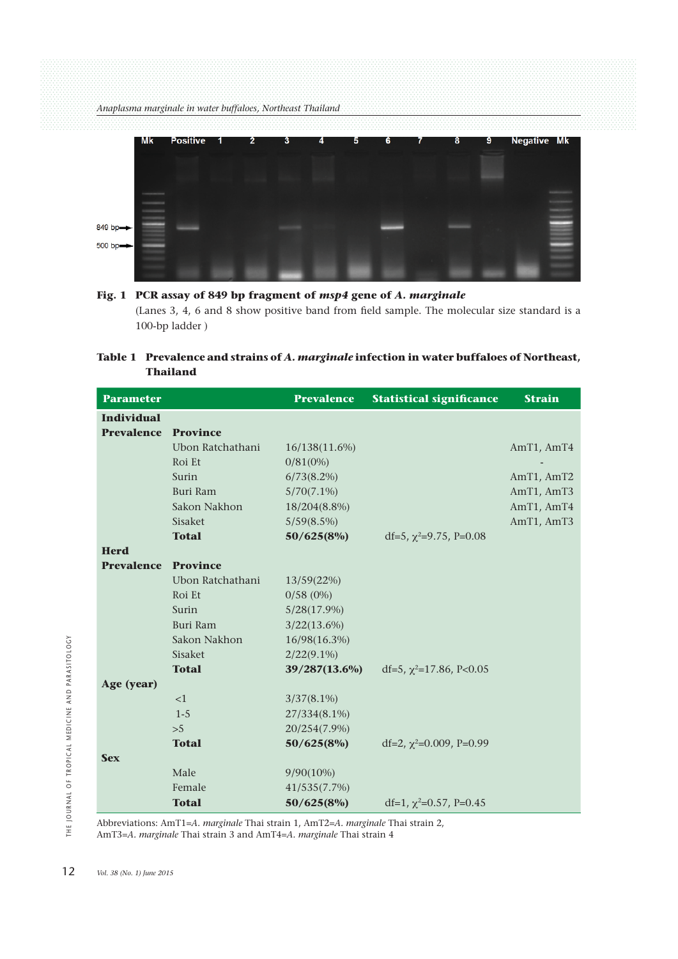

# **Fig. 1 PCR assay of 849 bp fragment of** *msp4* **gene of** *A. marginale* (Lanes 3, 4, 6 and 8 show positive band from field sample. The molecular size standard is a 100-bp ladder )

## **Table 1 Prevalence and strains of** *A. marginale* **infection in water buffaloes of Northeast, Thailand**

| <b>Parameter</b>  |                  | <b>Prevalence</b> | <b>Statistical significance</b> | <b>Strain</b> |
|-------------------|------------------|-------------------|---------------------------------|---------------|
| <b>Individual</b> |                  |                   |                                 |               |
| <b>Prevalence</b> | <b>Province</b>  |                   |                                 |               |
|                   | Ubon Ratchathani | 16/138(11.6%)     |                                 | AmT1, AmT4    |
|                   | Roi Et           | $0/81(0\%)$       |                                 |               |
|                   | Surin            | $6/73(8.2\%)$     |                                 | AmT1, AmT2    |
|                   | Buri Ram         | $5/70(7.1\%)$     |                                 | AmT1, AmT3    |
|                   | Sakon Nakhon     | 18/204(8.8%)      |                                 | AmT1, AmT4    |
|                   | Sisaket          | $5/59(8.5\%)$     |                                 | AmT1, AmT3    |
|                   | <b>Total</b>     | 50/625(8%)        | df=5, $\chi^2$ =9.75, P=0.08    |               |
| <b>Herd</b>       |                  |                   |                                 |               |
| <b>Prevalence</b> | <b>Province</b>  |                   |                                 |               |
|                   | Ubon Ratchathani | 13/59(22%)        |                                 |               |
|                   | Roi Et           | $0/58(0\%)$       |                                 |               |
|                   | Surin            | $5/28(17.9\%)$    |                                 |               |
|                   | Buri Ram         | $3/22(13.6\%)$    |                                 |               |
|                   | Sakon Nakhon     | 16/98(16.3%)      |                                 |               |
|                   | Sisaket          | $2/22(9.1\%)$     |                                 |               |
|                   | <b>Total</b>     | 39/287(13.6%)     | df=5, $\chi^2$ =17.86, P<0.05   |               |
| Age (year)        |                  |                   |                                 |               |
|                   | <1               | $3/37(8.1\%)$     |                                 |               |
|                   | $1 - 5$          | 27/334(8.1%)      |                                 |               |
|                   | >5               | 20/254(7.9%)      |                                 |               |
|                   | <b>Total</b>     | 50/625(8%)        | df=2, $\chi^2$ =0.009, P=0.99   |               |
| <b>Sex</b>        |                  |                   |                                 |               |
|                   | Male             | $9/90(10\%)$      |                                 |               |
|                   | Female           | 41/535(7.7%)      |                                 |               |
|                   | <b>Total</b>     | 50/625(8%)        | df=1, $\chi^2$ =0.57, P=0.45    |               |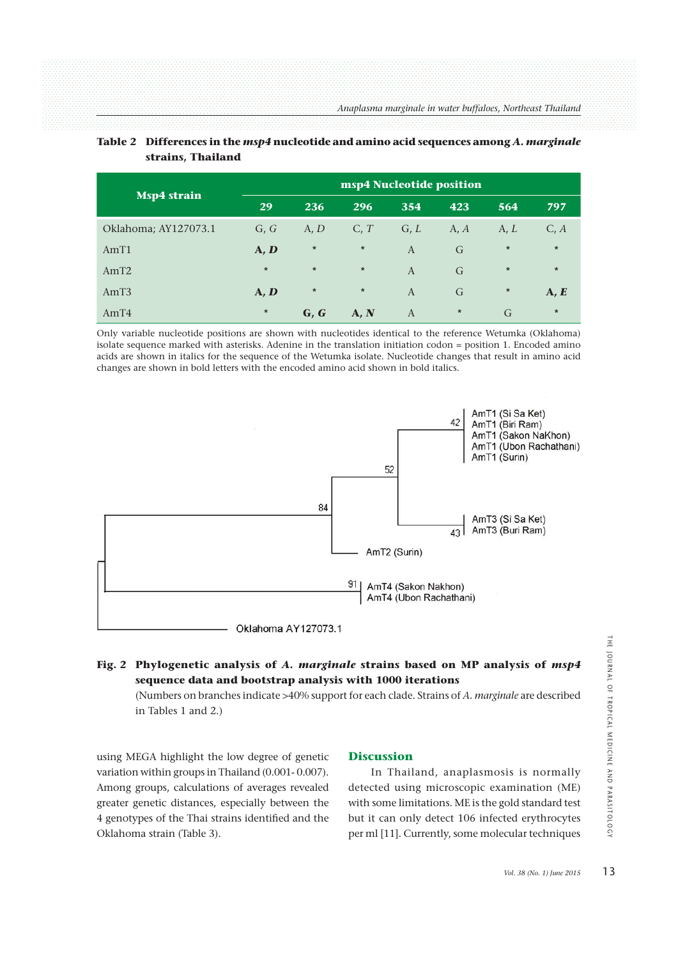| Msp4 strain          | msp4 Nucleotide position |         |         |                |         |         |         |  |
|----------------------|--------------------------|---------|---------|----------------|---------|---------|---------|--|
|                      | 29                       | 236     | 296     | 354            | 423     | 564     | 797     |  |
| Oklahoma; AY127073.1 | G, G                     | A, D    | C, T    | G, L           | A, $A$  | A, L    | C, A    |  |
| AmT1                 | $\mathbf{A}, \mathbf{D}$ | $\star$ | $\star$ | $\overline{A}$ | G       | $\star$ | $\star$ |  |
| AmT2                 | $\star$                  | $\star$ | $\star$ | $\overline{A}$ | G       | $\star$ | $\star$ |  |
| AmT <sub>3</sub>     | $\mathbf{A}, \mathbf{D}$ | $\star$ | $\star$ | A              | G       | $\star$ | A, E    |  |
| AmT4                 | $\star$                  | G, G    | A, N    | $\overline{A}$ | $\star$ | G       | $\star$ |  |

## **Table 2 Differences in the** *msp4* **nucleotide and amino acid sequences among** *A. marginale*  **strains, Thailand**

Only variable nucleotide positions are shown with nucleotides identical to the reference Wetumka (Oklahoma) isolate sequence marked with asterisks. Adenine in the translation initiation codon = position 1. Encoded amino acids are shown in italics for the sequence of the Wetumka isolate. Nucleotide changes that result in amino acid changes are shown in bold letters with the encoded amino acid shown in bold italics.



## **Fig. 2 Phylogenetic analysis of** *A. marginale* **strains based on MP analysis of** *msp4* **sequence data and bootstrap analysis with 1000 iterations**

 (Numbers on branches indicate >40% support for each clade. Strains of *A. marginale* are described in Tables 1 and 2.)

using MEGA highlight the low degree of genetic variation within groups in Thailand (0.001- 0.007). Among groups, calculations of averages revealed greater genetic distances, especially between the 4 genotypes of the Thai strains identified and the Oklahoma strain (Table 3).

## **Discussion**

 In Thailand, anaplasmosis is normally detected using microscopic examination (ME) with some limitations. ME is the gold standard test but it can only detect 106 infected erythrocytes per ml [11]. Currently, some molecular techniques **Valysis of** *msp4*<br> *Vale* are described<br> *Vol. 38 (No. 1) June 2015*<br> *Vol. 38 (No. 1) June 2015*<br>
13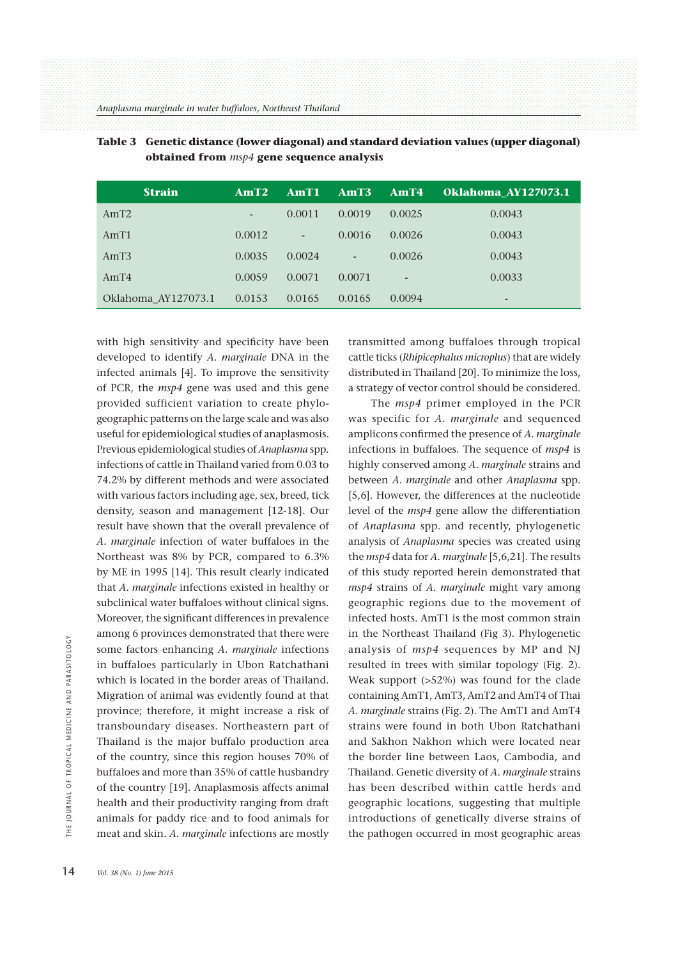| <b>Strain</b>       | AmT2   | AmT1   | AmT3   | AmT4   | Oklahoma AY127073.1 |
|---------------------|--------|--------|--------|--------|---------------------|
| AmT2                | -      | 0.0011 | 0.0019 | 0.0025 | 0.0043              |
| AmT1                | 0.0012 | -      | 0.0016 | 0.0026 | 0.0043              |
| AmT3                | 0.0035 | 0.0024 | -      | 0.0026 | 0.0043              |
| AmT4                | 0.0059 | 0.0071 | 0.0071 | -      | 0.0033              |
| Oklahoma AY127073.1 | 0.0153 | 0.0165 | 0.0165 | 0.0094 | -                   |

| Table 3 Genetic distance (lower diagonal) and standard deviation values (upper diagonal) |
|------------------------------------------------------------------------------------------|
| obtained from <i>msp4</i> gene sequence analysis                                         |

with high sensitivity and specificity have been developed to identify *A. marginale* DNA in the infected animals [4]. To improve the sensitivity of PCR, the *msp4* gene was used and this gene provided sufficient variation to create phylogeographic patterns on the large scale and was also useful for epidemiological studies of anaplasmosis. Previous epidemiological studies of *Anaplasma* spp. infections of cattle in Thailand varied from 0.03 to 74.2% by different methods and were associated with various factors including age, sex, breed, tick density, season and management [12-18]. Our result have shown that the overall prevalence of *A. marginale* infection of water buffaloes in the Northeast was 8% by PCR, compared to 6.3% by ME in 1995 [14]. This result clearly indicated that *A. marginale* infections existed in healthy or subclinical water buffaloes without clinical signs. Moreover, the significant differences in prevalence among 6 provinces demonstrated that there were some factors enhancing *A. marginale* infections in buffaloes particularly in Ubon Ratchathani which is located in the border areas of Thailand. Migration of animal was evidently found at that province; therefore, it might increase a risk of transboundary diseases. Northeastern part of Thailand is the major buffalo production area of the country, since this region houses 70% of buffaloes and more than 35% of cattle husbandry of the country [19]. Anaplasmosis affects animal health and their productivity ranging from draft animals for paddy rice and to food animals for meat and skin. *A. marginale* infections are mostly some factors en<br>
in buffaloes pa<br>
which is located<br>
<u>E</u><br>
Migration of ani<br>
province; there<br>
transboundary<br>
Thailand is the<br>
of the country,<br>
buffaloes and mo<br>
of the country [<br>
health and their<br>
animals for pad<br>
meat and s

transmitted among buffaloes through tropical cattle ticks (*Rhipicephalus microplus*) that are widely distributed in Thailand [20]. To minimize the loss, a strategy of vector control should be considered.

 The *msp4* primer employed in the PCR was specific for *A. marginale* and sequenced amplicons confirmed the presence of *A. marginale* infections in buffaloes. The sequence of *msp4* is highly conserved among *A. marginale* strains and between *A. marginale* and other *Anaplasma* spp. [5,6]. However, the differences at the nucleotide level of the *msp4* gene allow the differentiation of *Anaplasma* spp. and recently, phylogenetic analysis of *Anaplasma* species was created using the *msp4* data for *A. marginale* [5,6,21]. The results of this study reported herein demonstrated that *msp4* strains of *A. marginale* might vary among geographic regions due to the movement of infected hosts. AmT1 is the most common strain in the Northeast Thailand (Fig 3). Phylogenetic analysis of *msp4* sequences by MP and NJ resulted in trees with similar topology (Fig. 2). Weak support (>52%) was found for the clade containing AmT1, AmT3, AmT2 and AmT4 of Thai *A. marginale* strains (Fig. 2). The AmT1 and AmT4 strains were found in both Ubon Ratchathani and Sakhon Nakhon which were located near the border line between Laos, Cambodia, and Thailand. Genetic diversity of *A. marginale* strains has been described within cattle herds and geographic locations, suggesting that multiple introductions of genetically diverse strains of the pathogen occurred in most geographic areas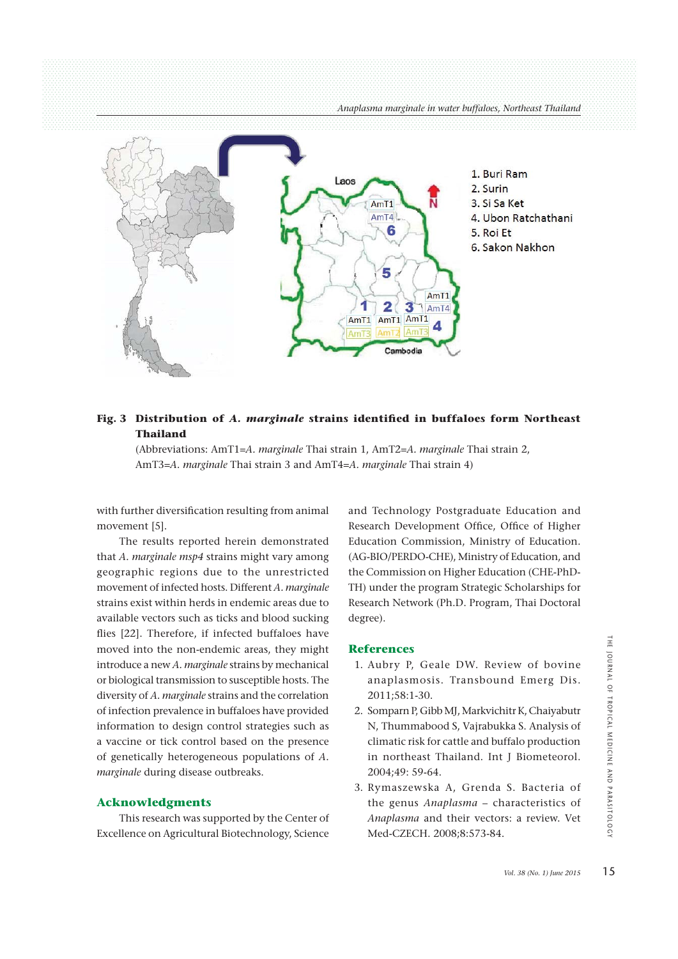

## **Fig. 3 Distribution of** *A. marginale* **strains identified in buffaloes form Northeast Thailand**

 (Abbreviations: AmT1=*A. marginale* Thai strain 1, AmT2=*A. marginale* Thai strain 2, AmT3=*A. marginale* Thai strain 3 and AmT4=*A. marginale* Thai strain 4)

with further diversification resulting from animal movement [5].

 The results reported herein demonstrated that *A. marginale msp4* strains might vary among geographic regions due to the unrestricted movement of infected hosts. Different *A. marginale* strains exist within herds in endemic areas due to available vectors such as ticks and blood sucking flies [22]. Therefore, if infected buffaloes have moved into the non-endemic areas, they might introduce a new *A. marginale* strains by mechanical or biological transmission to susceptible hosts. The diversity of *A. marginale* strains and the correlation of infection prevalence in buffaloes have provided information to design control strategies such as a vaccine or tick control based on the presence of genetically heterogeneous populations of *A. marginale* during disease outbreaks.

#### **Acknowledgments**

 This research was supported by the Center of Excellence on Agricultural Biotechnology, Science

and Technology Postgraduate Education and Research Development Office, Office of Higher Education Commission, Ministry of Education. (AG-BIO/PERDO-CHE), Ministry of Education, and the Commission on Higher Education (CHE-PhD-TH) under the program Strategic Scholarships for Research Network (Ph.D. Program, Thai Doctoral degree).

#### **References**

- 1. Aubry P, Geale DW. Review of bovine anaplasmosis. Transbound Emerg Dis. 2011;58:1-30.
- 2. Somparn P, Gibb MJ, Markvichitr K, Chaiyabutr N, Thummabood S, Vajrabukka S. Analysis of climatic risk for cattle and buffalo production in northeast Thailand. Int J Biometeorol. 2004;49: 59-64. **THE SUBSEX (NORTHE JOURNAL CONTROVER)**<br> **Vol. 38** (No. 1) June 2015<br> **Vol. 38** (No. 1) June 2015<br>
15THE JOURNAL MEDICINE AND PROPERTY CONTROLLING THE SUBSEX CONTROVER AND PARAGEMENT CONTROVER AND PARAGEMENT CONTROVER AND
- 3. Rymaszewska A, Grenda S. Bacteria of the genus *Anaplasma* – characteristics of *Anaplasma* and their vectors: a review. Vet Med-CZECH. 2008;8:573-84.